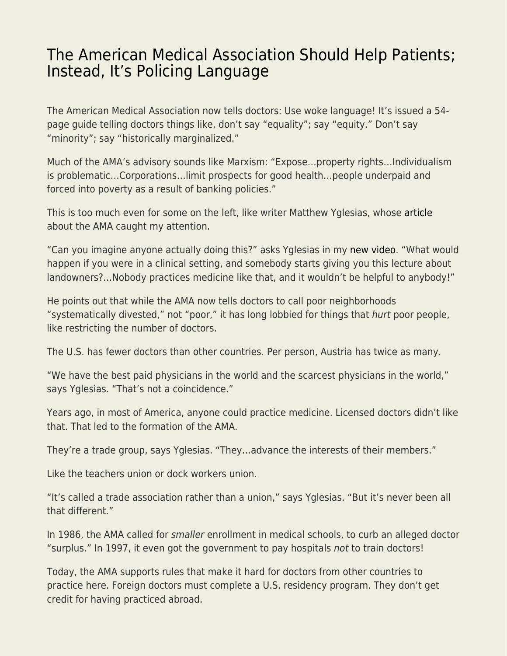## [The American Medical Association Should Help Patients;](https://everything-voluntary.com/the-american-medical-association-should-help-patients-instead-its-policing-language) [Instead, It's Policing Language](https://everything-voluntary.com/the-american-medical-association-should-help-patients-instead-its-policing-language)

The American Medical Association now tells doctors: Use woke language! It's issued a 54 page guide telling doctors things like, don't say "equality"; say "equity." Don't say "minority"; say "historically marginalized."

Much of the AMA's advisory sounds like Marxism: "Expose…property rights…Individualism is problematic…Corporations…limit prospects for good health…people underpaid and forced into poverty as a result of banking policies."

This is too much even for some on the left, like writer Matthew Yglesias, whose [article](https://www.slowboring.com/p/the-amas-advancing-health-equity?utm_source=url) about the AMA caught my attention.

"Can you imagine anyone actually doing this?" asks Yglesias in my [new video](https://www.youtube.com/watch?v=4co0kcocgqs). "What would happen if you were in a clinical setting, and somebody starts giving you this lecture about landowners?…Nobody practices medicine like that, and it wouldn't be helpful to anybody!"

He points out that while the AMA now tells doctors to call poor neighborhoods "systematically divested," not "poor," it has long lobbied for things that hurt poor people, like restricting the number of doctors.

The U.S. has fewer doctors than other countries. Per person, Austria has twice as many.

"We have the best paid physicians in the world and the scarcest physicians in the world," says Yglesias. "That's not a coincidence."

Years ago, in most of America, anyone could practice medicine. Licensed doctors didn't like that. That led to the formation of the AMA.

They're a trade group, says Yglesias. "They…advance the interests of their members."

Like the teachers union or dock workers union.

"It's called a trade association rather than a union," says Yglesias. "But it's never been all that different."

In 1986, the AMA called for smaller enrollment in medical schools, to curb an alleged doctor "surplus." In 1997, it even got the government to pay hospitals not to train doctors!

Today, the AMA supports rules that make it hard for doctors from other countries to practice here. Foreign doctors must complete a U.S. residency program. They don't get credit for having practiced abroad.